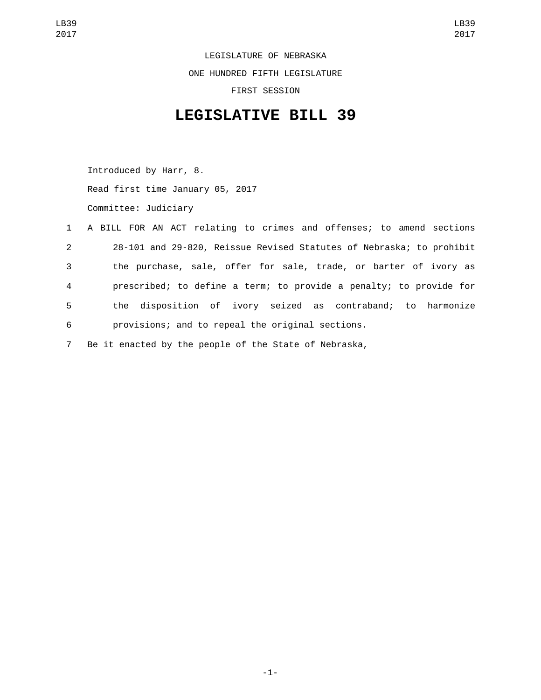## LEGISLATURE OF NEBRASKA ONE HUNDRED FIFTH LEGISLATURE FIRST SESSION

## **LEGISLATIVE BILL 39**

Introduced by Harr, 8. Read first time January 05, 2017 Committee: Judiciary

|                | 1 A BILL FOR AN ACT relating to crimes and offenses; to amend sections |
|----------------|------------------------------------------------------------------------|
| $2^{\circ}$    | 28-101 and 29-820, Reissue Revised Statutes of Nebraska; to prohibit   |
| 3 <sup>1</sup> | the purchase, sale, offer for sale, trade, or barter of ivory as       |
| $\overline{4}$ | prescribed; to define a term; to provide a penalty; to provide for     |
| 5 <sub>1</sub> | the disposition of ivory seized as contraband; to harmonize            |
| 6              | provisions; and to repeal the original sections.                       |
| $7^{\circ}$    | Be it enacted by the people of the State of Nebraska,                  |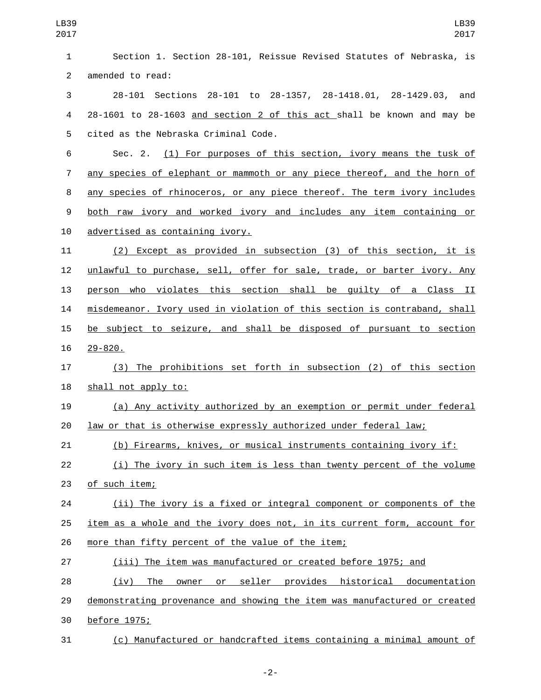| LB39<br>2017   | LB39<br>2017                                                                    |
|----------------|---------------------------------------------------------------------------------|
| 1              | Section 1. Section 28-101, Reissue Revised Statutes of Nebraska, is             |
| $\overline{2}$ | amended to read:                                                                |
| 3              | 28-101 to 28-1357, 28-1418.01, 28-1429.03,<br>28-101 Sections<br>and            |
| 4              | 28-1601 to 28-1603 and section 2 of this act shall be known and may be          |
| 5              | cited as the Nebraska Criminal Code.                                            |
| 6              | Sec. 2. (1) For purposes of this section, ivory means the tusk of               |
| 7              | <u>any species of elephant or mammoth or any piece thereof, and the horn of</u> |
| 8              | any species of rhinoceros, or any piece thereof. The term ivory includes        |
| 9              | both raw ivory and worked ivory and includes any item containing or             |
| 10             | advertised as containing ivory.                                                 |
| 11             | (2) Except as provided in subsection (3) of this section, it is                 |
| 12             | unlawful to purchase, sell, offer for sale, trade, or barter ivory. Any         |
| 13             | person who violates this section shall be guilty of a Class II                  |
| 14             | misdemeanor. Ivory used in violation of this section is contraband, shall       |
| 15             | be subject to seizure, and shall be disposed of pursuant to section             |
| 16             | $29 - 820$ .                                                                    |
| 17             | (3) The prohibitions set forth in subsection (2) of this section                |
| 18             | shall not apply to:                                                             |
| 19             | (a) Any activity authorized by an exemption or permit under federal             |
| 20             | <u>law or that is otherwise expressly authorized under federal law;</u>         |
| 21             | (b) Firearms, knives, or musical instruments containing ivory if:               |
| 22             | (i) The ivory in such item is less than twenty percent of the volume            |
| 23             | of such item;                                                                   |
| 24             | (ii) The ivory is a fixed or integral component or components of the            |
| 25             | item as a whole and the ivory does not, in its current form, account for        |
| 26             | more than fifty percent of the value of the item;                               |
| 27             | (iii) The item was manufactured or created before 1975; and                     |
| 28             | (iv) The owner or seller provides historical documentation                      |
| 29             | demonstrating provenance and showing the item was manufactured or created       |
| 30             | before 1975;                                                                    |
| 31             | (c) Manufactured or handcrafted items containing a minimal amount of            |

-2-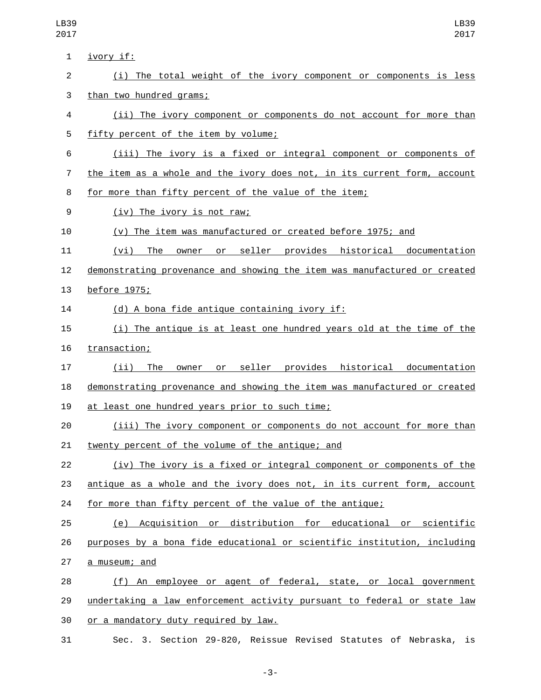| 1              | <u>ivory if:</u>                                                          |
|----------------|---------------------------------------------------------------------------|
| $\overline{c}$ | (i) The total weight of the ivory component or components is less         |
| 3              | than two hundred grams;                                                   |
| 4              | (ii) The ivory component or components do not account for more than       |
| 5              | fifty percent of the item by volume;                                      |
| 6              | (iii) The ivory is a fixed or integral component or components of         |
| 7              | the item as a whole and the ivory does not, in its current form, account  |
| 8              | for more than fifty percent of the value of the item;                     |
| 9              | (iv) The ivory is not raw;                                                |
| 10             | (v) The item was manufactured or created before 1975; and                 |
| 11             | (vi) The owner or seller provides historical documentation                |
| 12             | demonstrating provenance and showing the item was manufactured or created |
| 13             | before 1975;                                                              |
| 14             | (d) A bona fide antique containing ivory if:                              |
| 15             | (i) The antique is at least one hundred years old at the time of the      |
| 16             | transaction;                                                              |
| 17             | owner or seller provides historical documentation<br>$(ii)$ The           |
| 18             | demonstrating provenance and showing the item was manufactured or created |
| 19             | at least one hundred years prior to such time;                            |
| 20             | (iii) The ivory component or components do not account for more than      |
| 21             | twenty percent of the volume of the antique; and                          |
| 22             | (iv) The ivory is a fixed or integral component or components of the      |
| 23             | antique as a whole and the ivory does not, in its current form, account   |
| 24             | for more than fifty percent of the value of the antique;                  |
| 25             | (e) Acquisition or distribution for educational or scientific             |
| 26             | purposes by a bona fide educational or scientific institution, including  |
| 27             | a museum; and                                                             |
| 28             | (f) An employee or agent of federal, state, or local government           |
| 29             | undertaking a law enforcement activity pursuant to federal or state law   |
| 30             | or a mandatory duty required by law.                                      |
| 31             | Sec. 3. Section 29-820, Reissue Revised Statutes of Nebraska, is          |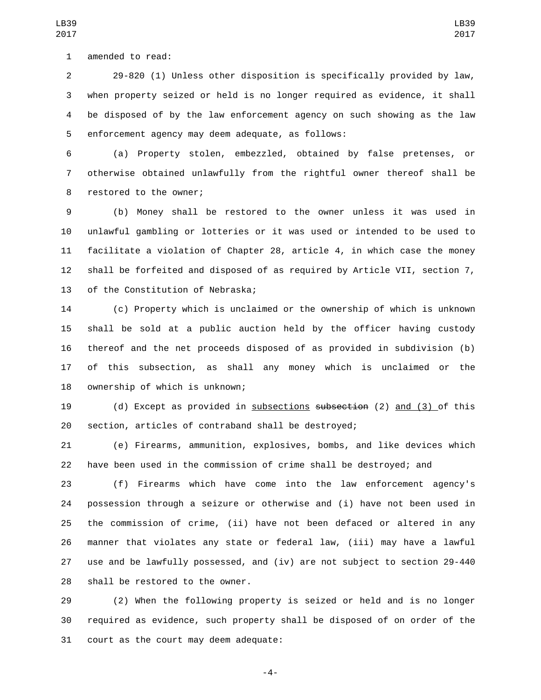1 amended to read:

 29-820 (1) Unless other disposition is specifically provided by law, when property seized or held is no longer required as evidence, it shall be disposed of by the law enforcement agency on such showing as the law 5 enforcement agency may deem adequate, as follows:

LB39 

 (a) Property stolen, embezzled, obtained by false pretenses, or otherwise obtained unlawfully from the rightful owner thereof shall be 8 restored to the owner;

 (b) Money shall be restored to the owner unless it was used in unlawful gambling or lotteries or it was used or intended to be used to facilitate a violation of Chapter 28, article 4, in which case the money shall be forfeited and disposed of as required by Article VII, section 7, 13 of the Constitution of Nebraska;

 (c) Property which is unclaimed or the ownership of which is unknown shall be sold at a public auction held by the officer having custody thereof and the net proceeds disposed of as provided in subdivision (b) of this subsection, as shall any money which is unclaimed or the 18 ownership of which is unknown;

 (d) Except as provided in subsections subsection (2) and (3) of this section, articles of contraband shall be destroyed;

 (e) Firearms, ammunition, explosives, bombs, and like devices which have been used in the commission of crime shall be destroyed; and

 (f) Firearms which have come into the law enforcement agency's possession through a seizure or otherwise and (i) have not been used in the commission of crime, (ii) have not been defaced or altered in any manner that violates any state or federal law, (iii) may have a lawful use and be lawfully possessed, and (iv) are not subject to section 29-440 28 shall be restored to the owner.

 (2) When the following property is seized or held and is no longer required as evidence, such property shall be disposed of on order of the 31 court as the court may deem adequate:

-4-